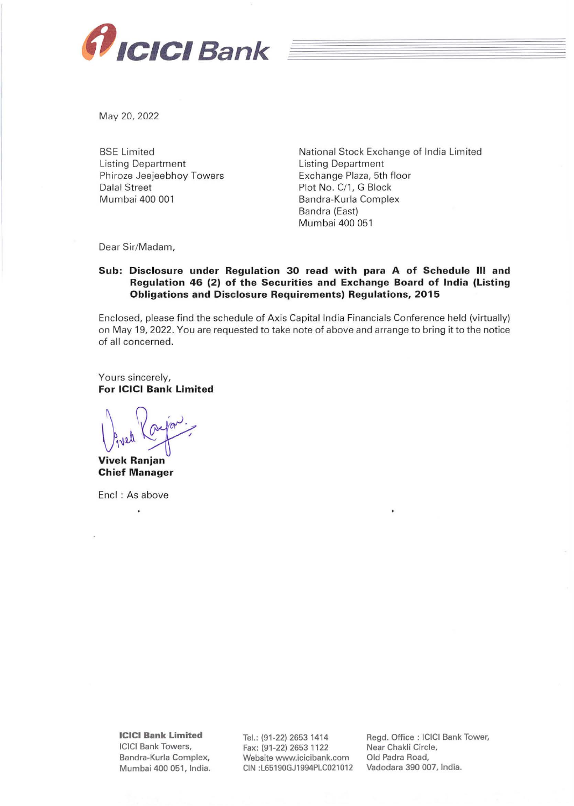

May 20, 2022

**BSE** Limited Listing Department Phiroze Jeejeebhoy Towers Dalal Street Mumbai 400 001

National Stock Exchange of India Limited Listing Department Exchange Plaza, 5th floor Plot No. C/1, G Block Bandra-Kurla Complex Bandra (East) Mumbai 400 051

Dear Sir/Madam,

## **Sub: Disclosure under Regulation 30 read with para A of Schedule Ill and Regulation 46 (2) of the Securities and Exchange Board of India (Listing Obligations and Disclosure Requirements) Regulations, 2015**

Enclosed, please find the schedule of Axis Capital India Financials Conference held (virtually) on May 19, 2022. You are requested to take note of above and arrange to bring it to the notice of all concerned.

Yours sincerely, **For ICICI Bank Limited** 

 $\int_{\mathcal{V}}\mathcal{V}^{\text{old}}$ 

**Vivek Ranjan Chief Manager** 

Encl : As above  $\ddot{\phantom{0}}$ 

> **ICICI Bank Limited**  ICICI Bank Towers, Bandra-Kurla Complex, Mumbai 400 051, India.

Tel.: (91-22) 26531414 Fax: (91-22) 2653 1122 Website www.icicibank.com CIN :L65190GJ1994PLC021012 Regd. Office : ICICI Bank Tower, Near Chakli Circle, Old Padra Road, Vadodara 390 007, India.